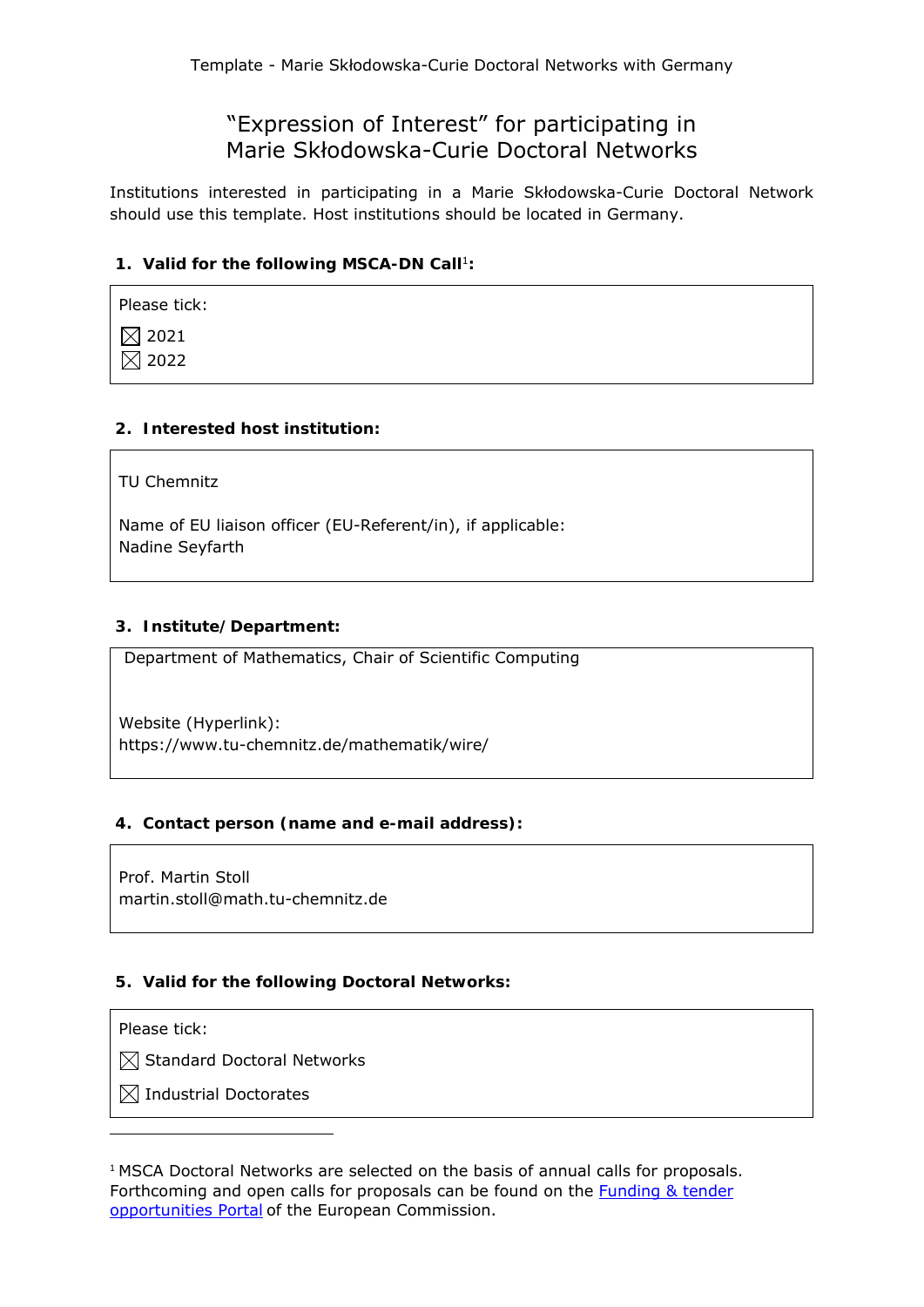# "Expression of Interest" for participating in Marie Skłodowska-Curie Doctoral Networks

Institutions interested in participating in a Marie Skłodowska-Curie Doctoral Network should use this template. Host institutions should be located in Germany.

## 1. Valid for the following MSCA-DN Call<sup>1</sup>:

| Please tick:     |
|------------------|
| $\boxtimes$ 2021 |
| $\boxtimes$ 2022 |

# **2. Interested host institution:**

TU Chemnitz

Name of EU liaison officer (EU-Referent/in), if applicable: Nadine Seyfarth

# **3. Institute/Department:**

Department of Mathematics, Chair of Scientific Computing

Website (Hyperlink): https://www.tu-chemnitz.de/mathematik/wire/

## **4. Contact person (name and e-mail address):**

Prof. Martin Stoll martin.stoll@math.tu-chemnitz.de

## **5. Valid for the following Doctoral Networks:**

#### Please tick:

 $\boxtimes$  Standard Doctoral Networks

 $\boxtimes$  Industrial Doctorates

<sup>1</sup> MSCA Doctoral Networks are selected on the basis of annual calls for proposals. Forthcoming and open calls for proposals can be found on the Funding & tender opportunities Portal of the European Commission.